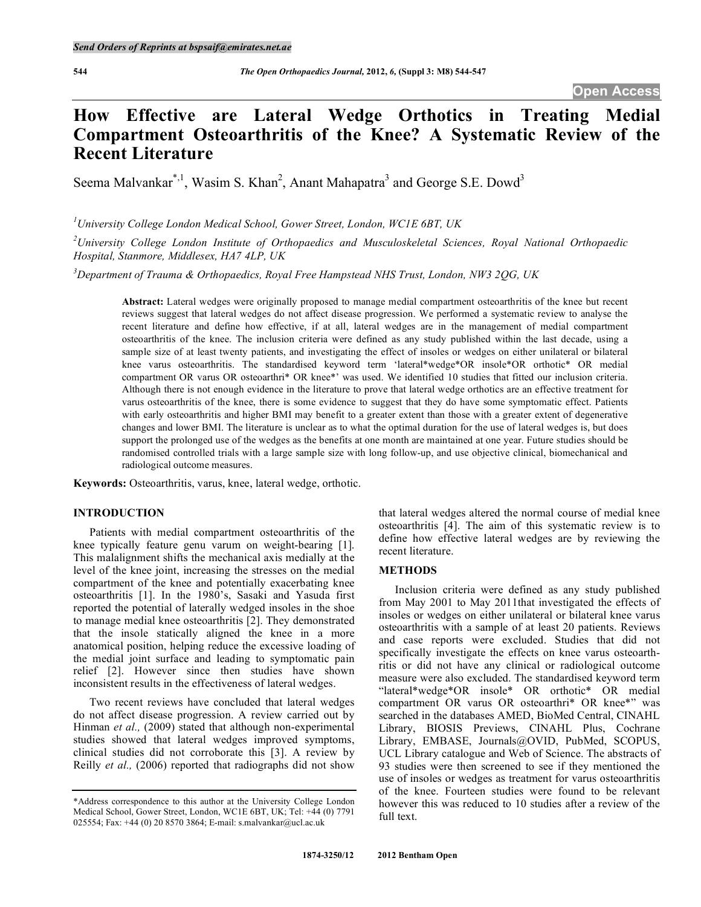# **How Effective are Lateral Wedge Orthotics in Treating Medial Compartment Osteoarthritis of the Knee? A Systematic Review of the Recent Literature**

Seema Malvankar<sup>\*,1</sup>, Wasim S. Khan<sup>2</sup>, Anant Mahapatra<sup>3</sup> and George S.E. Dowd<sup>3</sup>

*1 University College London Medical School, Gower Street, London, WC1E 6BT, UK* 

*2 University College London Institute of Orthopaedics and Musculoskeletal Sciences, Royal National Orthopaedic Hospital, Stanmore, Middlesex, HA7 4LP, UK* 

*3 Department of Trauma & Orthopaedics, Royal Free Hampstead NHS Trust, London, NW3 2QG, UK* 

**Abstract:** Lateral wedges were originally proposed to manage medial compartment osteoarthritis of the knee but recent reviews suggest that lateral wedges do not affect disease progression. We performed a systematic review to analyse the recent literature and define how effective, if at all, lateral wedges are in the management of medial compartment osteoarthritis of the knee. The inclusion criteria were defined as any study published within the last decade, using a sample size of at least twenty patients, and investigating the effect of insoles or wedges on either unilateral or bilateral knee varus osteoarthritis. The standardised keyword term 'lateral\*wedge\*OR insole\*OR orthotic\* OR medial compartment OR varus OR osteoarthri\* OR knee\*' was used. We identified 10 studies that fitted our inclusion criteria. Although there is not enough evidence in the literature to prove that lateral wedge orthotics are an effective treatment for varus osteoarthritis of the knee, there is some evidence to suggest that they do have some symptomatic effect. Patients with early osteoarthritis and higher BMI may benefit to a greater extent than those with a greater extent of degenerative changes and lower BMI. The literature is unclear as to what the optimal duration for the use of lateral wedges is, but does support the prolonged use of the wedges as the benefits at one month are maintained at one year. Future studies should be randomised controlled trials with a large sample size with long follow-up, and use objective clinical, biomechanical and radiological outcome measures.

**Keywords:** Osteoarthritis, varus, knee, lateral wedge, orthotic.

# **INTRODUCTION**

 Patients with medial compartment osteoarthritis of the knee typically feature genu varum on weight-bearing [1]. This malalignment shifts the mechanical axis medially at the level of the knee joint, increasing the stresses on the medial compartment of the knee and potentially exacerbating knee osteoarthritis [1]. In the 1980's, Sasaki and Yasuda first reported the potential of laterally wedged insoles in the shoe to manage medial knee osteoarthritis [2]. They demonstrated that the insole statically aligned the knee in a more anatomical position, helping reduce the excessive loading of the medial joint surface and leading to symptomatic pain relief [2]. However since then studies have shown inconsistent results in the effectiveness of lateral wedges.

 Two recent reviews have concluded that lateral wedges do not affect disease progression. A review carried out by Hinman *et al.,* (2009) stated that although non-experimental studies showed that lateral wedges improved symptoms, clinical studies did not corroborate this [3]. A review by Reilly *et al.,* (2006) reported that radiographs did not show

that lateral wedges altered the normal course of medial knee osteoarthritis [4]. The aim of this systematic review is to define how effective lateral wedges are by reviewing the recent literature.

# **METHODS**

 Inclusion criteria were defined as any study published from May 2001 to May 2011that investigated the effects of insoles or wedges on either unilateral or bilateral knee varus osteoarthritis with a sample of at least 20 patients. Reviews and case reports were excluded. Studies that did not specifically investigate the effects on knee varus osteoarthritis or did not have any clinical or radiological outcome measure were also excluded. The standardised keyword term "lateral\*wedge\*OR insole\* OR orthotic\* OR medial compartment OR varus OR osteoarthri\* OR knee\*" was searched in the databases AMED, BioMed Central, CINAHL Library, BIOSIS Previews, CINAHL Plus, Cochrane Library, EMBASE, Journals@OVID, PubMed, SCOPUS, UCL Library catalogue and Web of Science. The abstracts of 93 studies were then screened to see if they mentioned the use of insoles or wedges as treatment for varus osteoarthritis of the knee. Fourteen studies were found to be relevant however this was reduced to 10 studies after a review of the full text.

<sup>\*</sup>Address correspondence to this author at the University College London Medical School, Gower Street, London, WC1E 6BT, UK; Tel: +44 (0) 7791 025554; Fax: +44 (0) 20 8570 3864; E-mail: s.malvankar@ucl.ac.uk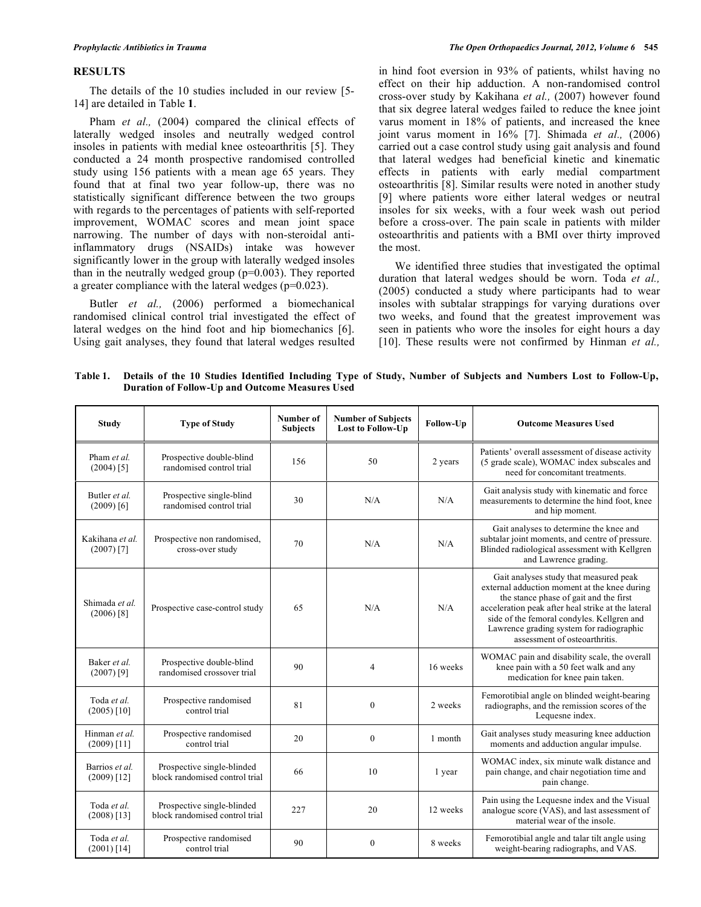## **RESULTS**

 The details of the 10 studies included in our review [5- 14] are detailed in Table **1**.

Pham *et al.*, (2004) compared the clinical effects of laterally wedged insoles and neutrally wedged control insoles in patients with medial knee osteoarthritis [5]. They conducted a 24 month prospective randomised controlled study using 156 patients with a mean age 65 years. They found that at final two year follow-up, there was no statistically significant difference between the two groups with regards to the percentages of patients with self-reported improvement, WOMAC scores and mean joint space narrowing. The number of days with non-steroidal antiinflammatory drugs (NSAIDs) intake was however significantly lower in the group with laterally wedged insoles than in the neutrally wedged group (p=0.003). They reported a greater compliance with the lateral wedges (p=0.023).

 Butler *et al.,* (2006) performed a biomechanical randomised clinical control trial investigated the effect of lateral wedges on the hind foot and hip biomechanics [6]. Using gait analyses, they found that lateral wedges resulted

in hind foot eversion in 93% of patients, whilst having no effect on their hip adduction. A non-randomised control cross-over study by Kakihana *et al.,* (2007) however found that six degree lateral wedges failed to reduce the knee joint varus moment in 18% of patients, and increased the knee joint varus moment in 16% [7]. Shimada *et al.,* (2006) carried out a case control study using gait analysis and found that lateral wedges had beneficial kinetic and kinematic effects in patients with early medial compartment osteoarthritis [8]. Similar results were noted in another study [9] where patients wore either lateral wedges or neutral insoles for six weeks, with a four week wash out period before a cross-over. The pain scale in patients with milder osteoarthritis and patients with a BMI over thirty improved the most.

 We identified three studies that investigated the optimal duration that lateral wedges should be worn. Toda *et al.,*  (2005) conducted a study where participants had to wear insoles with subtalar strappings for varying durations over two weeks, and found that the greatest improvement was seen in patients who wore the insoles for eight hours a day [10]. These results were not confirmed by Hinman *et al.*,

**Table 1. Details of the 10 Studies Identified Including Type of Study, Number of Subjects and Numbers Lost to Follow-Up, Duration of Follow-Up and Outcome Measures Used** 

| <b>Study</b>                         | <b>Type of Study</b>                                         | Number of<br><b>Subjects</b> | <b>Number of Subjects</b><br>Lost to Follow-Up | Follow-Up | <b>Outcome Measures Used</b>                                                                                                                                                                                                                                                                                      |
|--------------------------------------|--------------------------------------------------------------|------------------------------|------------------------------------------------|-----------|-------------------------------------------------------------------------------------------------------------------------------------------------------------------------------------------------------------------------------------------------------------------------------------------------------------------|
| Pham et al.<br>$(2004)$ [5]          | Prospective double-blind<br>randomised control trial         | 156                          | 50                                             | 2 years   | Patients' overall assessment of disease activity<br>(5 grade scale), WOMAC index subscales and<br>need for concomitant treatments.                                                                                                                                                                                |
| Butler <i>et al.</i><br>$(2009)$ [6] | Prospective single-blind<br>randomised control trial         | 30                           | N/A                                            | N/A       | Gait analysis study with kinematic and force<br>measurements to determine the hind foot, knee<br>and hip moment.                                                                                                                                                                                                  |
| Kakihana et al.<br>$(2007)$ [7]      | Prospective non randomised,<br>cross-over study              | 70                           | N/A                                            | N/A       | Gait analyses to determine the knee and<br>subtalar joint moments, and centre of pressure.<br>Blinded radiological assessment with Kellgren<br>and Lawrence grading.                                                                                                                                              |
| Shimada et al.<br>$(2006)$ [8]       | Prospective case-control study                               | 65                           | N/A                                            | N/A       | Gait analyses study that measured peak<br>external adduction moment at the knee during<br>the stance phase of gait and the first<br>acceleration peak after heal strike at the lateral<br>side of the femoral condyles. Kellgren and<br>Lawrence grading system for radiographic<br>assessment of osteoarthritis. |
| Baker et al.<br>$(2007)$ [9]         | Prospective double-blind<br>randomised crossover trial       | 90                           | $\overline{4}$                                 | 16 weeks  | WOMAC pain and disability scale, the overall<br>knee pain with a 50 feet walk and any<br>medication for knee pain taken.                                                                                                                                                                                          |
| Toda et al.<br>$(2005)$ [10]         | Prospective randomised<br>control trial                      | 81                           | $\mathbf{0}$                                   | 2 weeks   | Femorotibial angle on blinded weight-bearing<br>radiographs, and the remission scores of the<br>Lequesne index.                                                                                                                                                                                                   |
| Hinman et al.<br>$(2009)$ [11]       | Prospective randomised<br>control trial                      | 20                           | $\mathbf{0}$                                   | 1 month   | Gait analyses study measuring knee adduction<br>moments and adduction angular impulse.                                                                                                                                                                                                                            |
| Barrios et al.<br>$(2009)$ [12]      | Prospective single-blinded<br>block randomised control trial | 66                           | 10                                             | 1 year    | WOMAC index, six minute walk distance and<br>pain change, and chair negotiation time and<br>pain change.                                                                                                                                                                                                          |
| Toda et al.<br>$(2008)$ [13]         | Prospective single-blinded<br>block randomised control trial | 227                          | 20                                             | 12 weeks  | Pain using the Lequesne index and the Visual<br>analogue score (VAS), and last assessment of<br>material wear of the insole.                                                                                                                                                                                      |
| Toda et al.<br>$(2001)$ [14]         | Prospective randomised<br>control trial                      | 90                           | $\boldsymbol{0}$                               | 8 weeks   | Femorotibial angle and talar tilt angle using<br>weight-bearing radiographs, and VAS.                                                                                                                                                                                                                             |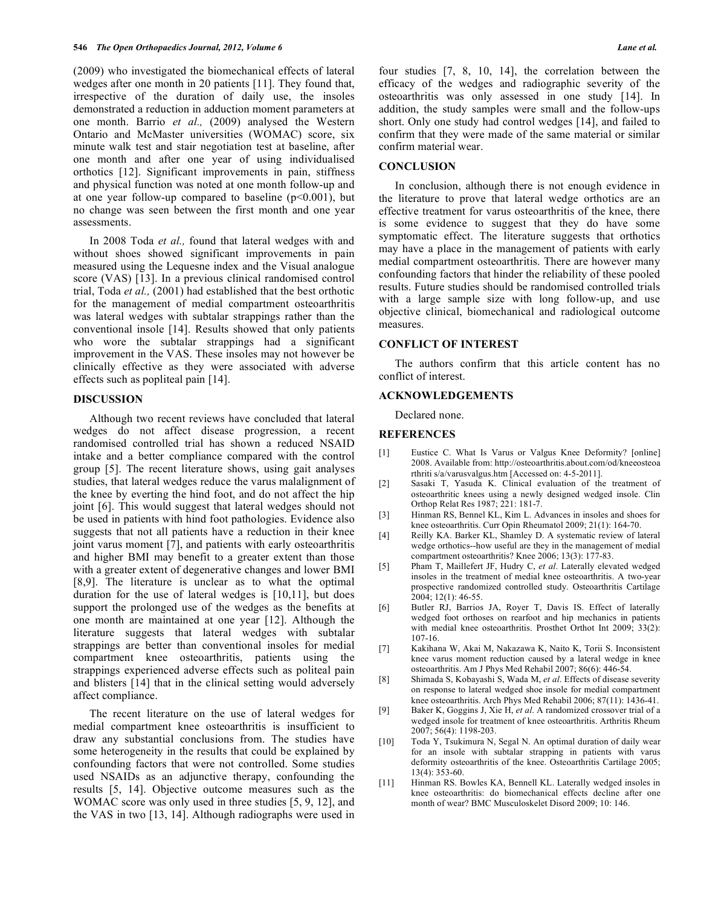(2009) who investigated the biomechanical effects of lateral wedges after one month in 20 patients [11]. They found that, irrespective of the duration of daily use, the insoles demonstrated a reduction in adduction moment parameters at one month. Barrio *et al.,* (2009) analysed the Western Ontario and McMaster universities (WOMAC) score, six minute walk test and stair negotiation test at baseline, after one month and after one year of using individualised orthotics [12]. Significant improvements in pain, stiffness and physical function was noted at one month follow-up and at one year follow-up compared to baseline  $(p<0.001)$ , but no change was seen between the first month and one year assessments.

 In 2008 Toda *et al.,* found that lateral wedges with and without shoes showed significant improvements in pain measured using the Lequesne index and the Visual analogue score (VAS) [13]. In a previous clinical randomised control trial, Toda *et al.,* (2001) had established that the best orthotic for the management of medial compartment osteoarthritis was lateral wedges with subtalar strappings rather than the conventional insole [14]. Results showed that only patients who wore the subtalar strappings had a significant improvement in the VAS. These insoles may not however be clinically effective as they were associated with adverse effects such as popliteal pain [14].

# **DISCUSSION**

 Although two recent reviews have concluded that lateral wedges do not affect disease progression, a recent randomised controlled trial has shown a reduced NSAID intake and a better compliance compared with the control group [5]. The recent literature shows, using gait analyses studies, that lateral wedges reduce the varus malalignment of the knee by everting the hind foot, and do not affect the hip joint [6]. This would suggest that lateral wedges should not be used in patients with hind foot pathologies. Evidence also suggests that not all patients have a reduction in their knee joint varus moment [7], and patients with early osteoarthritis and higher BMI may benefit to a greater extent than those with a greater extent of degenerative changes and lower BMI [8,9]. The literature is unclear as to what the optimal duration for the use of lateral wedges is [10,11], but does support the prolonged use of the wedges as the benefits at one month are maintained at one year [12]. Although the literature suggests that lateral wedges with subtalar strappings are better than conventional insoles for medial compartment knee osteoarthritis, patients using the strappings experienced adverse effects such as politeal pain and blisters [14] that in the clinical setting would adversely affect compliance.

 The recent literature on the use of lateral wedges for medial compartment knee osteoarthritis is insufficient to draw any substantial conclusions from. The studies have some heterogeneity in the results that could be explained by confounding factors that were not controlled. Some studies used NSAIDs as an adjunctive therapy, confounding the results [5, 14]. Objective outcome measures such as the WOMAC score was only used in three studies [5, 9, 12], and the VAS in two [13, 14]. Although radiographs were used in

four studies [7, 8, 10, 14], the correlation between the efficacy of the wedges and radiographic severity of the osteoarthritis was only assessed in one study [14]. In addition, the study samples were small and the follow-ups short. Only one study had control wedges [14], and failed to confirm that they were made of the same material or similar confirm material wear.

# **CONCLUSION**

 In conclusion, although there is not enough evidence in the literature to prove that lateral wedge orthotics are an effective treatment for varus osteoarthritis of the knee, there is some evidence to suggest that they do have some symptomatic effect. The literature suggests that orthotics may have a place in the management of patients with early medial compartment osteoarthritis. There are however many confounding factors that hinder the reliability of these pooled results. Future studies should be randomised controlled trials with a large sample size with long follow-up, and use objective clinical, biomechanical and radiological outcome measures.

### **CONFLICT OF INTEREST**

 The authors confirm that this article content has no conflict of interest.

### **ACKNOWLEDGEMENTS**

Declared none.

#### **REFERENCES**

- [1] Eustice C. What Is Varus or Valgus Knee Deformity? [online] 2008. Available from: http://osteoarthritis.about.com/od/kneeosteoa rthriti s/a/varusvalgus.htm [Accessed on: 4-5-2011].
- [2] Sasaki T, Yasuda K. Clinical evaluation of the treatment of osteoarthritic knees using a newly designed wedged insole. Clin Orthop Relat Res 1987; 221: 181-7.
- [3] Hinman RS, Bennel KL, Kim L. Advances in insoles and shoes for knee osteoarthritis. Curr Opin Rheumatol 2009; 21(1): 164-70.
- [4] Reilly KA. Barker KL, Shamley D. A systematic review of lateral wedge orthotics--how useful are they in the management of medial compartment osteoarthritis? Knee 2006; 13(3): 177-83.
- [5] Pham T, Maillefert JF, Hudry C, *et al*. Laterally elevated wedged insoles in the treatment of medial knee osteoarthritis. A two-year prospective randomized controlled study. Osteoarthritis Cartilage 2004; 12(1): 46-55.
- [6] Butler RJ, Barrios JA, Royer T, Davis IS. Effect of laterally wedged foot orthoses on rearfoot and hip mechanics in patients with medial knee osteoarthritis. Prosthet Orthot Int 2009; 33(2): 107-16.
- [7] Kakihana W, Akai M, Nakazawa K, Naito K, Torii S. Inconsistent knee varus moment reduction caused by a lateral wedge in knee osteoarthritis. Am J Phys Med Rehabil 2007; 86(6): 446-54.
- [8] Shimada S, Kobayashi S, Wada M, *et al*. Effects of disease severity on response to lateral wedged shoe insole for medial compartment knee osteoarthritis. Arch Phys Med Rehabil 2006; 87(11): 1436-41.
- [9] Baker K, Goggins J, Xie H, *et al*. A randomized crossover trial of a wedged insole for treatment of knee osteoarthritis. Arthritis Rheum 2007; 56(4): 1198-203.
- [10] Toda Y, Tsukimura N, Segal N. An optimal duration of daily wear for an insole with subtalar strapping in patients with varus deformity osteoarthritis of the knee. Osteoarthritis Cartilage 2005; 13(4): 353-60.
- [11] Hinman RS. Bowles KA, Bennell KL. Laterally wedged insoles in knee osteoarthritis: do biomechanical effects decline after one month of wear? BMC Musculoskelet Disord 2009; 10: 146.